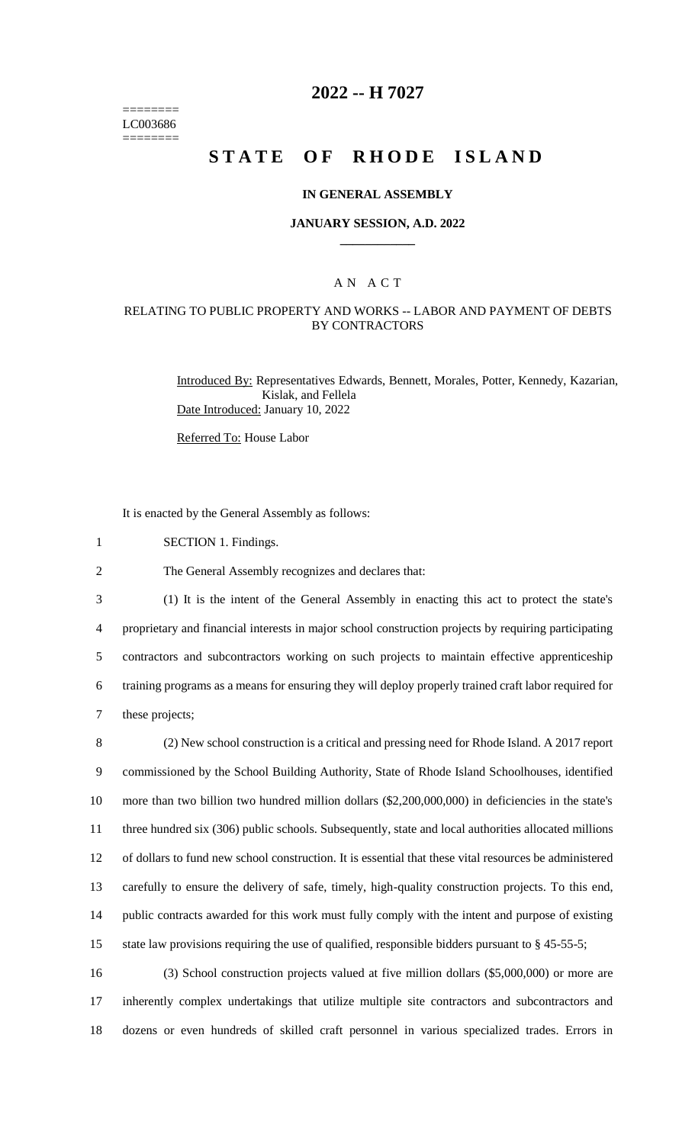======== LC003686 ========

## **2022 -- H 7027**

# **STATE OF RHODE ISLAND**

### **IN GENERAL ASSEMBLY**

#### **JANUARY SESSION, A.D. 2022 \_\_\_\_\_\_\_\_\_\_\_\_**

## A N A C T

## RELATING TO PUBLIC PROPERTY AND WORKS -- LABOR AND PAYMENT OF DEBTS BY CONTRACTORS

Introduced By: Representatives Edwards, Bennett, Morales, Potter, Kennedy, Kazarian, Kislak, and Fellela Date Introduced: January 10, 2022

Referred To: House Labor

It is enacted by the General Assembly as follows:

- 1 SECTION 1. Findings.
- 2 The General Assembly recognizes and declares that:

 (1) It is the intent of the General Assembly in enacting this act to protect the state's proprietary and financial interests in major school construction projects by requiring participating contractors and subcontractors working on such projects to maintain effective apprenticeship training programs as a means for ensuring they will deploy properly trained craft labor required for these projects;

 (2) New school construction is a critical and pressing need for Rhode Island. A 2017 report commissioned by the School Building Authority, State of Rhode Island Schoolhouses, identified more than two billion two hundred million dollars (\$2,200,000,000) in deficiencies in the state's three hundred six (306) public schools. Subsequently, state and local authorities allocated millions of dollars to fund new school construction. It is essential that these vital resources be administered carefully to ensure the delivery of safe, timely, high-quality construction projects. To this end, public contracts awarded for this work must fully comply with the intent and purpose of existing 15 state law provisions requiring the use of qualified, responsible bidders pursuant to § 45-55-5;

16 (3) School construction projects valued at five million dollars (\$5,000,000) or more are 17 inherently complex undertakings that utilize multiple site contractors and subcontractors and 18 dozens or even hundreds of skilled craft personnel in various specialized trades. Errors in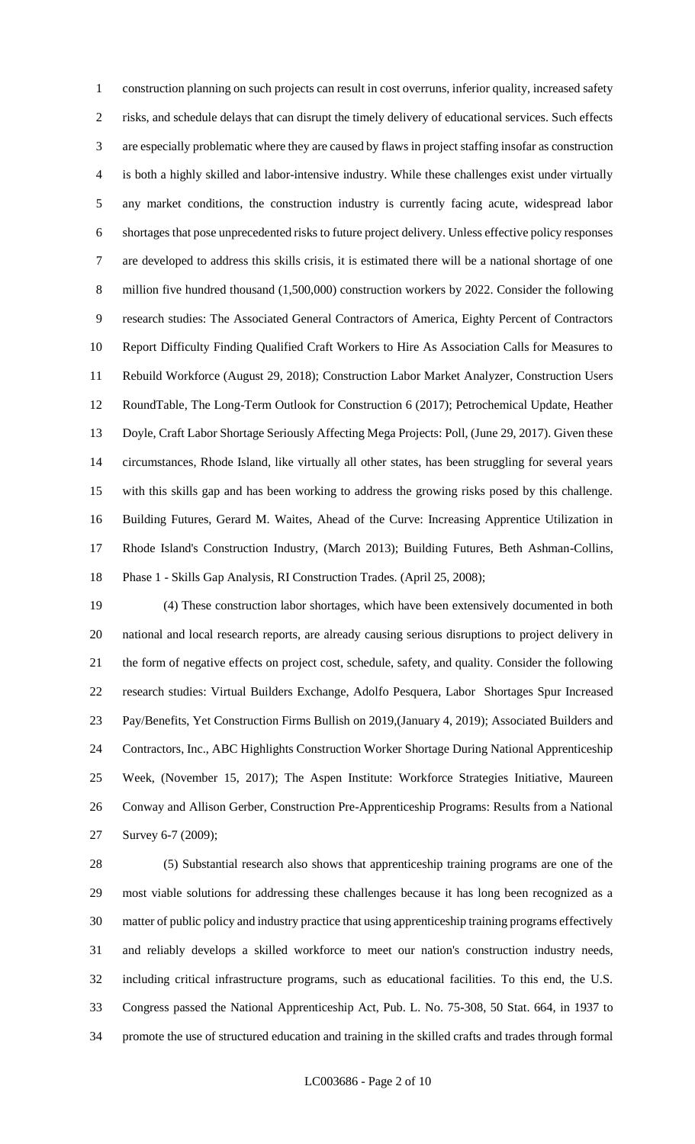construction planning on such projects can result in cost overruns, inferior quality, increased safety risks, and schedule delays that can disrupt the timely delivery of educational services. Such effects are especially problematic where they are caused by flaws in project staffing insofar as construction is both a highly skilled and labor-intensive industry. While these challenges exist under virtually any market conditions, the construction industry is currently facing acute, widespread labor shortages that pose unprecedented risks to future project delivery. Unless effective policy responses are developed to address this skills crisis, it is estimated there will be a national shortage of one million five hundred thousand (1,500,000) construction workers by 2022. Consider the following research studies: The Associated General Contractors of America, Eighty Percent of Contractors Report Difficulty Finding Qualified Craft Workers to Hire As Association Calls for Measures to Rebuild Workforce (August 29, 2018); Construction Labor Market Analyzer, Construction Users RoundTable, The Long-Term Outlook for Construction 6 (2017); Petrochemical Update, Heather Doyle, Craft Labor Shortage Seriously Affecting Mega Projects: Poll, (June 29, 2017). Given these circumstances, Rhode Island, like virtually all other states, has been struggling for several years with this skills gap and has been working to address the growing risks posed by this challenge. Building Futures, Gerard M. Waites, Ahead of the Curve: Increasing Apprentice Utilization in Rhode Island's Construction Industry, (March 2013); Building Futures, Beth Ashman-Collins, Phase 1 - Skills Gap Analysis, RI Construction Trades. (April 25, 2008);

 (4) These construction labor shortages, which have been extensively documented in both national and local research reports, are already causing serious disruptions to project delivery in the form of negative effects on project cost, schedule, safety, and quality. Consider the following research studies: Virtual Builders Exchange, Adolfo Pesquera, Labor Shortages Spur Increased Pay/Benefits, Yet Construction Firms Bullish on 2019,(January 4, 2019); Associated Builders and Contractors, Inc., ABC Highlights Construction Worker Shortage During National Apprenticeship Week, (November 15, 2017); The Aspen Institute: Workforce Strategies Initiative, Maureen Conway and Allison Gerber, Construction Pre-Apprenticeship Programs: Results from a National Survey 6-7 (2009);

 (5) Substantial research also shows that apprenticeship training programs are one of the most viable solutions for addressing these challenges because it has long been recognized as a matter of public policy and industry practice that using apprenticeship training programs effectively and reliably develops a skilled workforce to meet our nation's construction industry needs, including critical infrastructure programs, such as educational facilities. To this end, the U.S. Congress passed the National Apprenticeship Act, Pub. L. No. 75-308, 50 Stat. 664, in 1937 to promote the use of structured education and training in the skilled crafts and trades through formal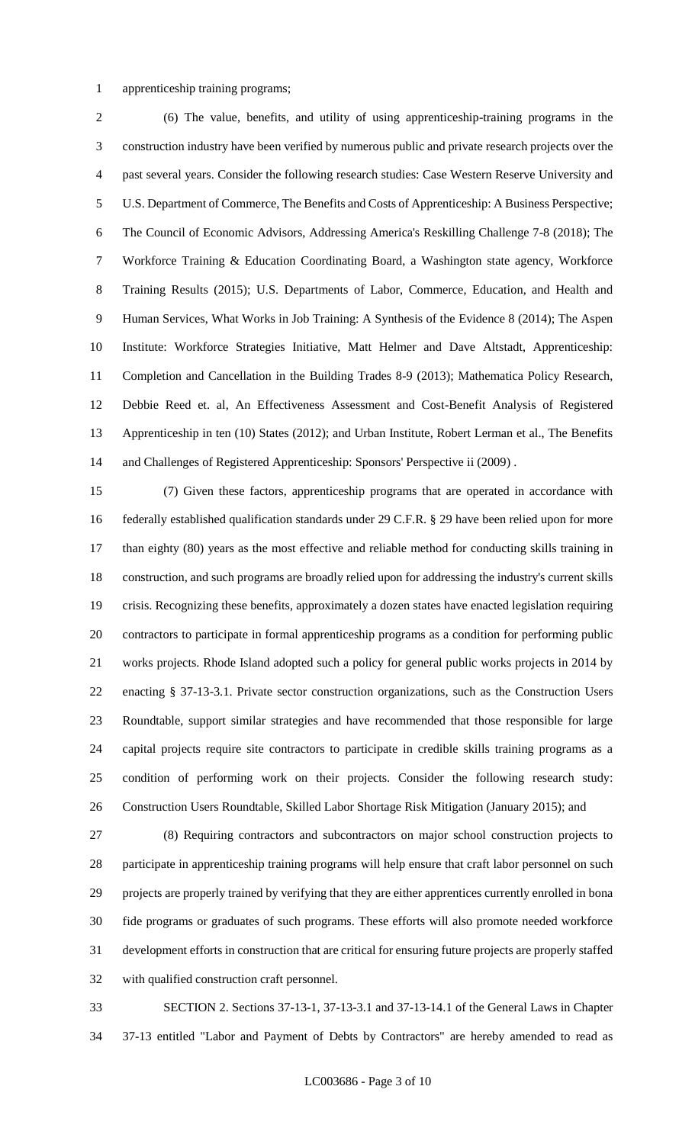#### apprenticeship training programs;

 (6) The value, benefits, and utility of using apprenticeship-training programs in the construction industry have been verified by numerous public and private research projects over the past several years. Consider the following research studies: Case Western Reserve University and U.S. Department of Commerce, The Benefits and Costs of Apprenticeship: A Business Perspective; The Council of Economic Advisors, Addressing America's Reskilling Challenge 7-8 (2018); The Workforce Training & Education Coordinating Board, a Washington state agency, Workforce Training Results (2015); U.S. Departments of Labor, Commerce, Education, and Health and Human Services, What Works in Job Training: A Synthesis of the Evidence 8 (2014); The Aspen Institute: Workforce Strategies Initiative, Matt Helmer and Dave Altstadt, Apprenticeship: Completion and Cancellation in the Building Trades 8-9 (2013); Mathematica Policy Research, Debbie Reed et. al, An Effectiveness Assessment and Cost-Benefit Analysis of Registered Apprenticeship in ten (10) States (2012); and Urban Institute, Robert Lerman et al., The Benefits and Challenges of Registered Apprenticeship: Sponsors' Perspective ii (2009) .

 (7) Given these factors, apprenticeship programs that are operated in accordance with federally established qualification standards under 29 C.F.R. § 29 have been relied upon for more than eighty (80) years as the most effective and reliable method for conducting skills training in construction, and such programs are broadly relied upon for addressing the industry's current skills crisis. Recognizing these benefits, approximately a dozen states have enacted legislation requiring contractors to participate in formal apprenticeship programs as a condition for performing public works projects. Rhode Island adopted such a policy for general public works projects in 2014 by enacting § 37-13-3.1. Private sector construction organizations, such as the Construction Users Roundtable, support similar strategies and have recommended that those responsible for large capital projects require site contractors to participate in credible skills training programs as a condition of performing work on their projects. Consider the following research study: Construction Users Roundtable, Skilled Labor Shortage Risk Mitigation (January 2015); and

 (8) Requiring contractors and subcontractors on major school construction projects to participate in apprenticeship training programs will help ensure that craft labor personnel on such projects are properly trained by verifying that they are either apprentices currently enrolled in bona fide programs or graduates of such programs. These efforts will also promote needed workforce development efforts in construction that are critical for ensuring future projects are properly staffed with qualified construction craft personnel.

 SECTION 2. Sections 37-13-1, 37-13-3.1 and 37-13-14.1 of the General Laws in Chapter 37-13 entitled "Labor and Payment of Debts by Contractors" are hereby amended to read as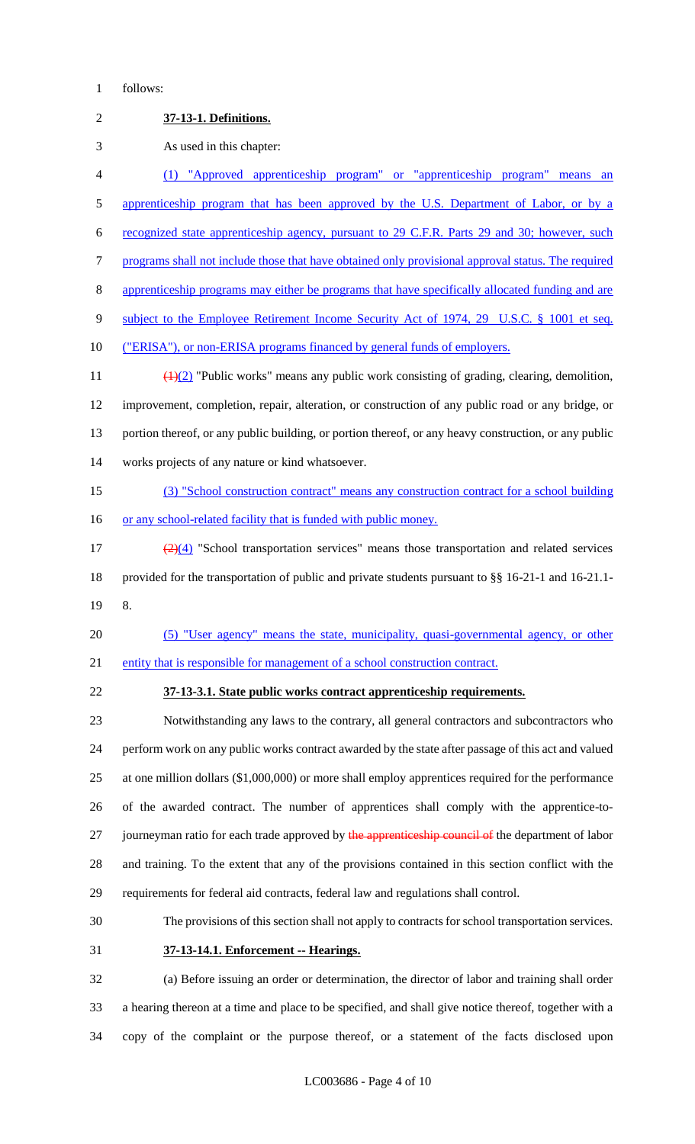## follows:

| $\overline{2}$ | 37-13-1. Definitions.                                                                                        |
|----------------|--------------------------------------------------------------------------------------------------------------|
| 3              | As used in this chapter:                                                                                     |
| 4              | (1) "Approved apprenticeship program" or "apprenticeship program" means an                                   |
| $\mathfrak{S}$ | apprenticeship program that has been approved by the U.S. Department of Labor, or by a                       |
| 6              | recognized state apprenticeship agency, pursuant to 29 C.F.R. Parts 29 and 30; however, such                 |
| $\tau$         | programs shall not include those that have obtained only provisional approval status. The required           |
| $8\,$          | apprenticeship programs may either be programs that have specifically allocated funding and are              |
| 9              | subject to the Employee Retirement Income Security Act of 1974, 29 U.S.C. § 1001 et seq.                     |
| 10             | ("ERISA"), or non-ERISA programs financed by general funds of employers.                                     |
| 11             | $\left(\frac{1}{2}\right)$ "Public works" means any public work consisting of grading, clearing, demolition, |
| 12             | improvement, completion, repair, alteration, or construction of any public road or any bridge, or            |
| 13             | portion thereof, or any public building, or portion thereof, or any heavy construction, or any public        |
| 14             | works projects of any nature or kind whatsoever.                                                             |
| 15             | (3) "School construction contract" means any construction contract for a school building                     |
| 16             | or any school-related facility that is funded with public money.                                             |
| 17             | $\frac{2}{2}(4)$ "School transportation services" means those transportation and related services            |
| 18             | provided for the transportation of public and private students pursuant to $\S$ 16-21-1 and 16-21.1-         |
| 19             | 8.                                                                                                           |
| 20             | (5) "User agency" means the state, municipality, quasi-governmental agency, or other                         |
| 21             | entity that is responsible for management of a school construction contract.                                 |
| 22             | 37-13-3.1. State public works contract apprenticeship requirements.                                          |
| 23             | Notwithstanding any laws to the contrary, all general contractors and subcontractors who                     |
| 24             | perform work on any public works contract awarded by the state after passage of this act and valued          |
| 25             | at one million dollars $(\$1,000,000)$ or more shall employ apprentices required for the performance         |
| 26             | of the awarded contract. The number of apprentices shall comply with the apprentice-to-                      |
| 27             | journeyman ratio for each trade approved by the apprenticeship council of the department of labor            |
| 28             | and training. To the extent that any of the provisions contained in this section conflict with the           |
| 29             | requirements for federal aid contracts, federal law and regulations shall control.                           |
| 30             | The provisions of this section shall not apply to contracts for school transportation services.              |
| 31             | 37-13-14.1. Enforcement -- Hearings.                                                                         |
| 32             | (a) Before issuing an order or determination, the director of labor and training shall order                 |
| 33             | a hearing thereon at a time and place to be specified, and shall give notice thereof, together with a        |
| 34             | copy of the complaint or the purpose thereof, or a statement of the facts disclosed upon                     |

LC003686 - Page 4 of 10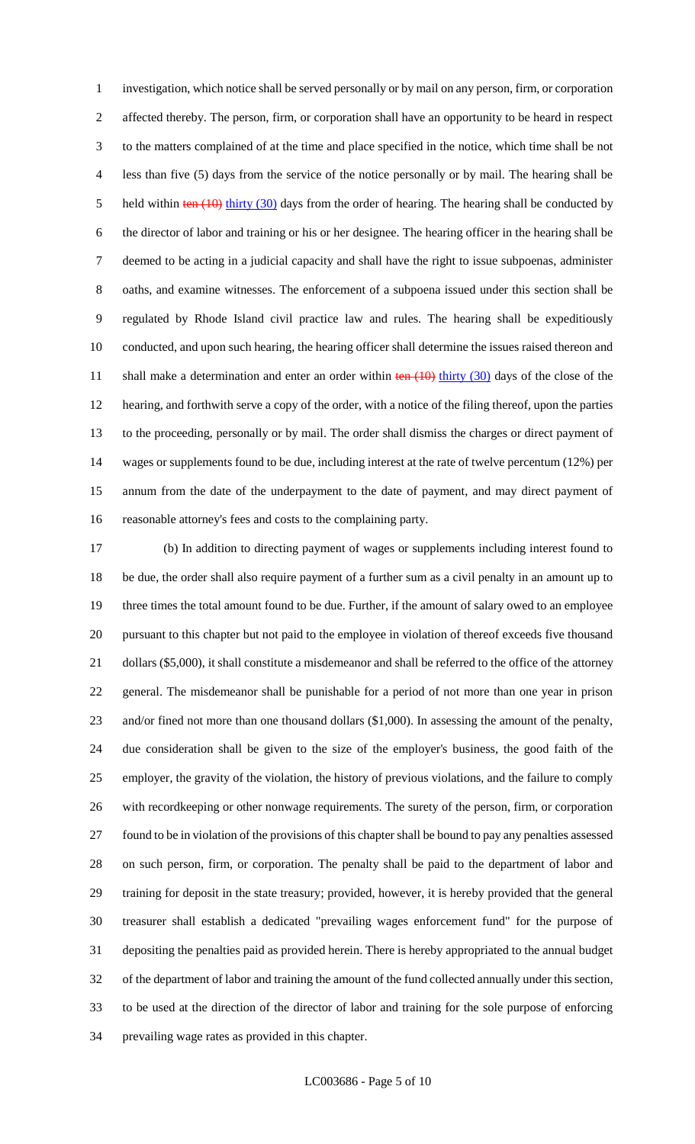investigation, which notice shall be served personally or by mail on any person, firm, or corporation affected thereby. The person, firm, or corporation shall have an opportunity to be heard in respect to the matters complained of at the time and place specified in the notice, which time shall be not less than five (5) days from the service of the notice personally or by mail. The hearing shall be 5 held within  $\frac{\tan(10)}{\tan(10)}$  thirty (30) days from the order of hearing. The hearing shall be conducted by the director of labor and training or his or her designee. The hearing officer in the hearing shall be deemed to be acting in a judicial capacity and shall have the right to issue subpoenas, administer oaths, and examine witnesses. The enforcement of a subpoena issued under this section shall be regulated by Rhode Island civil practice law and rules. The hearing shall be expeditiously conducted, and upon such hearing, the hearing officer shall determine the issues raised thereon and 11 shall make a determination and enter an order within  $\frac{\tan(10)}{\tan(10)}$  thirty (30) days of the close of the hearing, and forthwith serve a copy of the order, with a notice of the filing thereof, upon the parties to the proceeding, personally or by mail. The order shall dismiss the charges or direct payment of wages or supplements found to be due, including interest at the rate of twelve percentum (12%) per annum from the date of the underpayment to the date of payment, and may direct payment of reasonable attorney's fees and costs to the complaining party.

 (b) In addition to directing payment of wages or supplements including interest found to be due, the order shall also require payment of a further sum as a civil penalty in an amount up to three times the total amount found to be due. Further, if the amount of salary owed to an employee pursuant to this chapter but not paid to the employee in violation of thereof exceeds five thousand 21 dollars (\$5,000), it shall constitute a misdemeanor and shall be referred to the office of the attorney general. The misdemeanor shall be punishable for a period of not more than one year in prison 23 and/or fined not more than one thousand dollars (\$1,000). In assessing the amount of the penalty, due consideration shall be given to the size of the employer's business, the good faith of the employer, the gravity of the violation, the history of previous violations, and the failure to comply with recordkeeping or other nonwage requirements. The surety of the person, firm, or corporation found to be in violation of the provisions of this chapter shall be bound to pay any penalties assessed on such person, firm, or corporation. The penalty shall be paid to the department of labor and training for deposit in the state treasury; provided, however, it is hereby provided that the general treasurer shall establish a dedicated "prevailing wages enforcement fund" for the purpose of depositing the penalties paid as provided herein. There is hereby appropriated to the annual budget of the department of labor and training the amount of the fund collected annually under this section, to be used at the direction of the director of labor and training for the sole purpose of enforcing prevailing wage rates as provided in this chapter.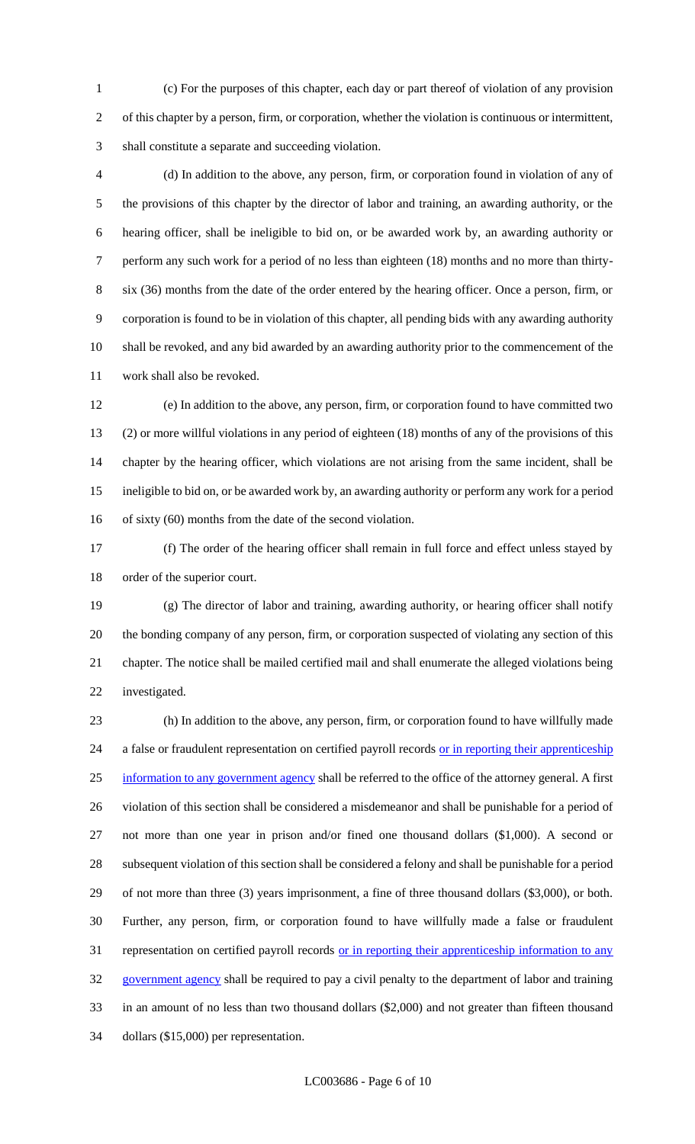(c) For the purposes of this chapter, each day or part thereof of violation of any provision of this chapter by a person, firm, or corporation, whether the violation is continuous or intermittent, shall constitute a separate and succeeding violation.

 (d) In addition to the above, any person, firm, or corporation found in violation of any of the provisions of this chapter by the director of labor and training, an awarding authority, or the hearing officer, shall be ineligible to bid on, or be awarded work by, an awarding authority or perform any such work for a period of no less than eighteen (18) months and no more than thirty- six (36) months from the date of the order entered by the hearing officer. Once a person, firm, or corporation is found to be in violation of this chapter, all pending bids with any awarding authority shall be revoked, and any bid awarded by an awarding authority prior to the commencement of the work shall also be revoked.

 (e) In addition to the above, any person, firm, or corporation found to have committed two (2) or more willful violations in any period of eighteen (18) months of any of the provisions of this chapter by the hearing officer, which violations are not arising from the same incident, shall be ineligible to bid on, or be awarded work by, an awarding authority or perform any work for a period of sixty (60) months from the date of the second violation.

 (f) The order of the hearing officer shall remain in full force and effect unless stayed by order of the superior court.

 (g) The director of labor and training, awarding authority, or hearing officer shall notify the bonding company of any person, firm, or corporation suspected of violating any section of this chapter. The notice shall be mailed certified mail and shall enumerate the alleged violations being investigated.

 (h) In addition to the above, any person, firm, or corporation found to have willfully made 24 a false or fraudulent representation on certified payroll records or in reporting their apprenticeship 25 information to any government agency shall be referred to the office of the attorney general. A first violation of this section shall be considered a misdemeanor and shall be punishable for a period of not more than one year in prison and/or fined one thousand dollars (\$1,000). A second or subsequent violation of this section shall be considered a felony and shall be punishable for a period of not more than three (3) years imprisonment, a fine of three thousand dollars (\$3,000), or both. Further, any person, firm, or corporation found to have willfully made a false or fraudulent 31 representation on certified payroll records <u>or in reporting their apprenticeship information to any</u> government agency shall be required to pay a civil penalty to the department of labor and training in an amount of no less than two thousand dollars (\$2,000) and not greater than fifteen thousand dollars (\$15,000) per representation.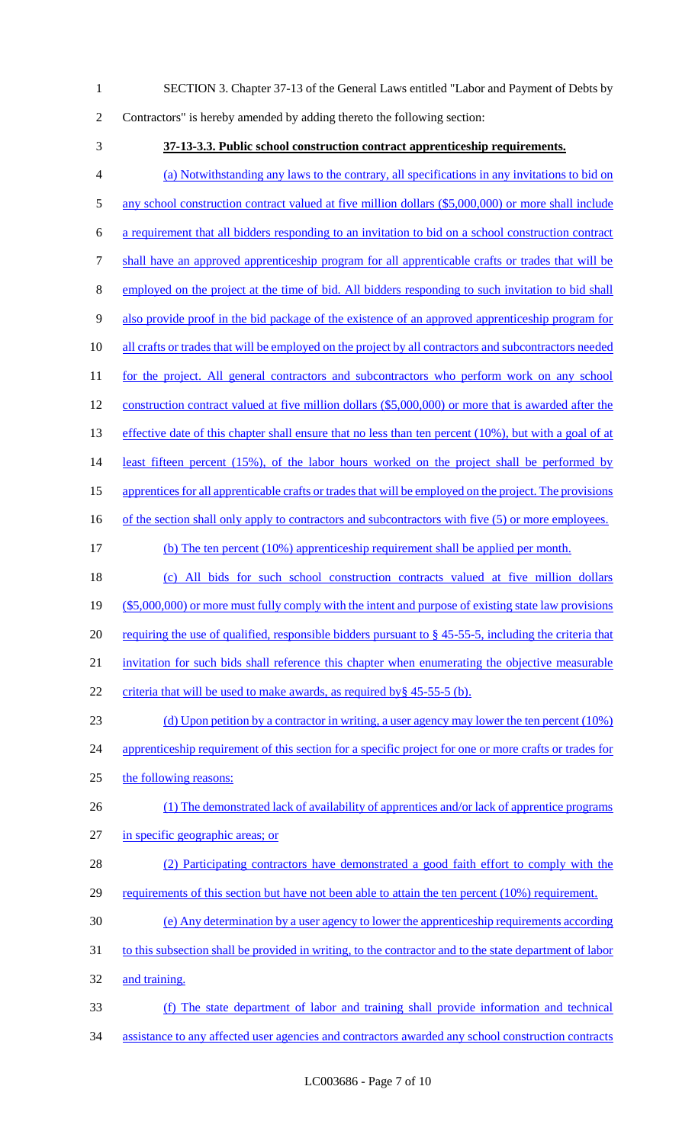- 1 SECTION 3. Chapter 37-13 of the General Laws entitled "Labor and Payment of Debts by
- 2 Contractors" is hereby amended by adding thereto the following section:
- 

3 **37-13-3.3. Public school construction contract apprenticeship requirements.**  4 (a) Notwithstanding any laws to the contrary, all specifications in any invitations to bid on 5 any school construction contract valued at five million dollars (\$5,000,000) or more shall include 6 a requirement that all bidders responding to an invitation to bid on a school construction contract 7 shall have an approved apprenticeship program for all apprenticable crafts or trades that will be 8 employed on the project at the time of bid. All bidders responding to such invitation to bid shall 9 also provide proof in the bid package of the existence of an approved apprenticeship program for 10 all crafts or trades that will be employed on the project by all contractors and subcontractors needed 11 for the project. All general contractors and subcontractors who perform work on any school 12 construction contract valued at five million dollars (\$5,000,000) or more that is awarded after the 13 effective date of this chapter shall ensure that no less than ten percent (10%), but with a goal of at 14 least fifteen percent (15%), of the labor hours worked on the project shall be performed by 15 apprentices for all apprenticable crafts or trades that will be employed on the project. The provisions 16 of the section shall only apply to contractors and subcontractors with five (5) or more employees. 17 (b) The ten percent (10%) apprenticeship requirement shall be applied per month.

18 (c) All bids for such school construction contracts valued at five million dollars 19 (\$5,000,000) or more must fully comply with the intent and purpose of existing state law provisions 20 requiring the use of qualified, responsible bidders pursuant to  $\S$  45-55-5, including the criteria that 21 invitation for such bids shall reference this chapter when enumerating the objective measurable 22 criteria that will be used to make awards, as required by § 45-55-5 (b).

- 23 (d) Upon petition by a contractor in writing, a user agency may lower the ten percent (10%) 24 apprenticeship requirement of this section for a specific project for one or more crafts or trades for 25 the following reasons:
- 26 (1) The demonstrated lack of availability of apprentices and/or lack of apprentice programs 27 in specific geographic areas; or
- 28 (2) Participating contractors have demonstrated a good faith effort to comply with the 29 requirements of this section but have not been able to attain the ten percent (10%) requirement.
- 30 (e) Any determination by a user agency to lower the apprenticeship requirements according
- 31 to this subsection shall be provided in writing, to the contractor and to the state department of labor 32 and training.
- 33 (f) The state department of labor and training shall provide information and technical 34 assistance to any affected user agencies and contractors awarded any school construction contracts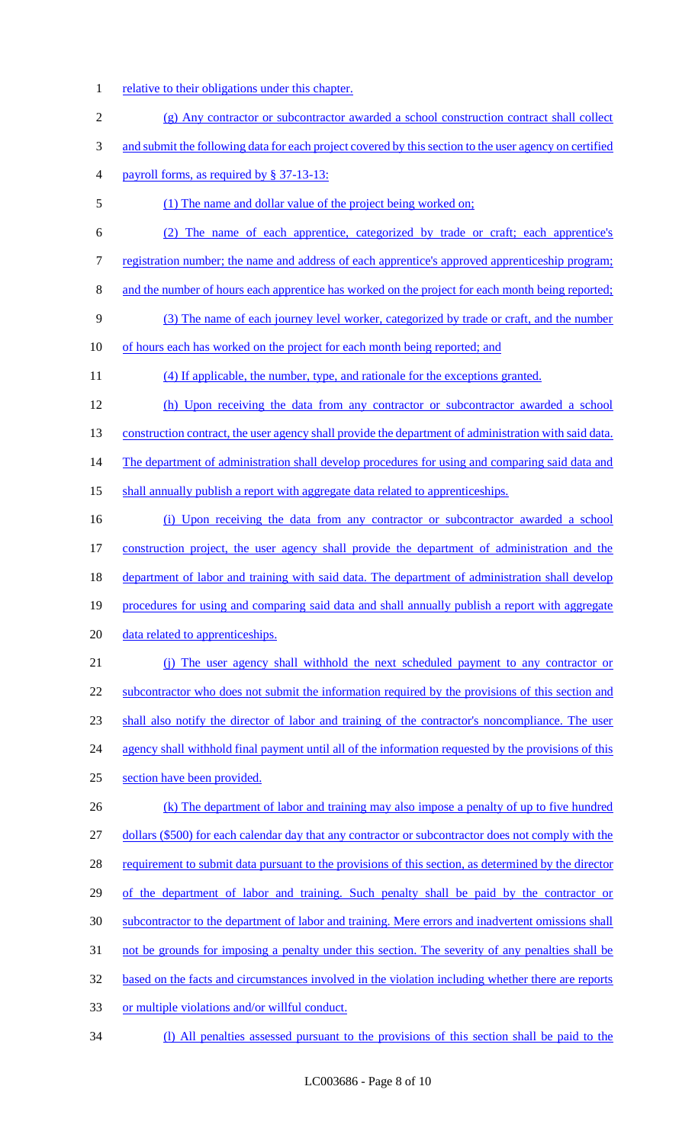- 1 relative to their obligations under this chapter.
- 2 (g) Any contractor or subcontractor awarded a school construction contract shall collect 3 and submit the following data for each project covered by this section to the user agency on certified 4 payroll forms, as required by § 37-13-13:
- 5 (1) The name and dollar value of the project being worked on;
- 6 (2) The name of each apprentice, categorized by trade or craft; each apprentice's 7 registration number; the name and address of each apprentice's approved apprenticeship program;
- 8 and the number of hours each apprentice has worked on the project for each month being reported;
- 9 (3) The name of each journey level worker, categorized by trade or craft, and the number

10 of hours each has worked on the project for each month being reported; and

11 (4) If applicable, the number, type, and rationale for the exceptions granted.

12 (h) Upon receiving the data from any contractor or subcontractor awarded a school 13 construction contract, the user agency shall provide the department of administration with said data. 14 The department of administration shall develop procedures for using and comparing said data and 15 shall annually publish a report with aggregate data related to apprenticeships.

 (i) Upon receiving the data from any contractor or subcontractor awarded a school construction project, the user agency shall provide the department of administration and the 18 department of labor and training with said data. The department of administration shall develop procedures for using and comparing said data and shall annually publish a report with aggregate data related to apprenticeships.

21 (j) The user agency shall withhold the next scheduled payment to any contractor or 22 subcontractor who does not submit the information required by the provisions of this section and 23 shall also notify the director of labor and training of the contractor's noncompliance. The user 24 agency shall withhold final payment until all of the information requested by the provisions of this 25 section have been provided.

26 (k) The department of labor and training may also impose a penalty of up to five hundred 27 dollars (\$500) for each calendar day that any contractor or subcontractor does not comply with the 28 requirement to submit data pursuant to the provisions of this section, as determined by the director 29 of the department of labor and training. Such penalty shall be paid by the contractor or 30 subcontractor to the department of labor and training. Mere errors and inadvertent omissions shall 31 not be grounds for imposing a penalty under this section. The severity of any penalties shall be 32 based on the facts and circumstances involved in the violation including whether there are reports 33 or multiple violations and/or willful conduct.

34 (l) All penalties assessed pursuant to the provisions of this section shall be paid to the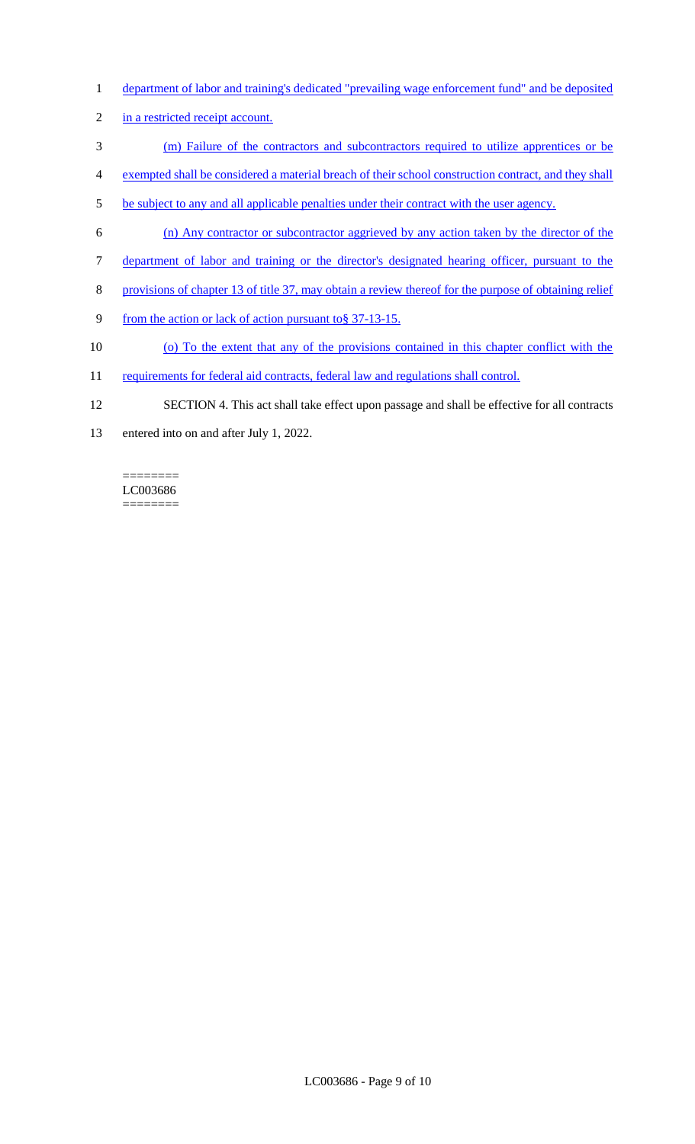- 1 department of labor and training's dedicated "prevailing wage enforcement fund" and be deposited
- 2 in a restricted receipt account.
- 3 (m) Failure of the contractors and subcontractors required to utilize apprentices or be
- 4 exempted shall be considered a material breach of their school construction contract, and they shall
- 5 be subject to any and all applicable penalties under their contract with the user agency.
- 6 (n) Any contractor or subcontractor aggrieved by any action taken by the director of the
- 7 department of labor and training or the director's designated hearing officer, pursuant to the
- 8 provisions of chapter 13 of title 37, may obtain a review thereof for the purpose of obtaining relief
- 9 from the action or lack of action pursuant to § 37-13-15.
- 10 (o) To the extent that any of the provisions contained in this chapter conflict with the
- 11 requirements for federal aid contracts, federal law and regulations shall control.
- 12 SECTION 4. This act shall take effect upon passage and shall be effective for all contracts
- 13 entered into on and after July 1, 2022.

#### ======== LC003686 ========